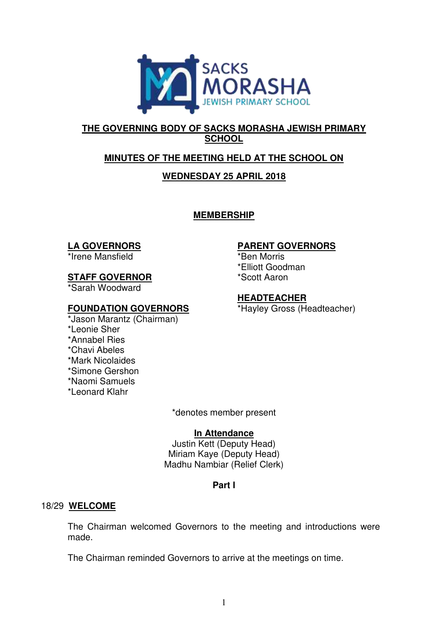

# **THE GOVERNING BODY OF SACKS MORASHA JEWISH PRIMARY SCHOOL**

# **MINUTES OF THE MEETING HELD AT THE SCHOOL ON**

# **WEDNESDAY 25 APRIL 2018**

**MEMBERSHIP** 

## **LA GOVERNORS**

\*Irene Mansfield

## **STAFF GOVERNOR**

\*Sarah Woodward

## **FOUNDATION GOVERNORS**

\*Jason Marantz (Chairman) \*Leonie Sher \*Annabel Ries \*Chavi Abeles \*Mark Nicolaides \*Simone Gershon \*Naomi Samuels \*Leonard Klahr

## **PARENT GOVERNORS**

\*Ben Morris \*Elliott Goodman \*Scott Aaron

## **HEADTEACHER**

\*Hayley Gross (Headteacher)

\*denotes member present

## **In Attendance**

Justin Kett (Deputy Head) Miriam Kaye (Deputy Head) Madhu Nambiar (Relief Clerk)

# **Part I**

## 18/29 **WELCOME**

The Chairman welcomed Governors to the meeting and introductions were made.

The Chairman reminded Governors to arrive at the meetings on time.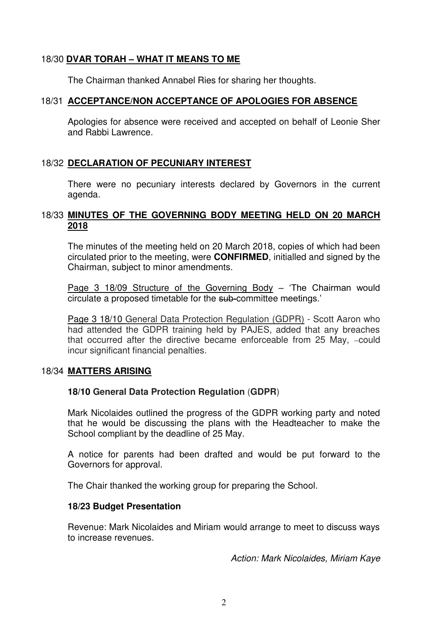## 18/30 **DVAR TORAH – WHAT IT MEANS TO ME**

The Chairman thanked Annabel Ries for sharing her thoughts.

#### 18/31 **ACCEPTANCE/NON ACCEPTANCE OF APOLOGIES FOR ABSENCE**

Apologies for absence were received and accepted on behalf of Leonie Sher and Rabbi Lawrence.

## 18/32 **DECLARATION OF PECUNIARY INTEREST**

There were no pecuniary interests declared by Governors in the current agenda.

## 18/33 **MINUTES OF THE GOVERNING BODY MEETING HELD ON 20 MARCH 2018**

The minutes of the meeting held on 20 March 2018, copies of which had been circulated prior to the meeting, were **CONFIRMED**, initialled and signed by the Chairman, subject to minor amendments.

Page 3 18/09 Structure of the Governing Body – 'The Chairman would circulate a proposed timetable for the sub-committee meetings.'

Page 3 18/10 General Data Protection Regulation (GDPR) - Scott Aaron who had attended the GDPR training held by PAJES, added that any breaches that occurred after the directive became enforceable from 25 May, -could incur significant financial penalties.

#### 18/34 **MATTERS ARISING**

## **18/10 General Data Protection Regulation** (**GDPR**)

Mark Nicolaides outlined the progress of the GDPR working party and noted that he would be discussing the plans with the Headteacher to make the School compliant by the deadline of 25 May.

A notice for parents had been drafted and would be put forward to the Governors for approval.

The Chair thanked the working group for preparing the School.

#### **18/23 Budget Presentation**

Revenue: Mark Nicolaides and Miriam would arrange to meet to discuss ways to increase revenues.

*Action: Mark Nicolaides, Miriam Kaye*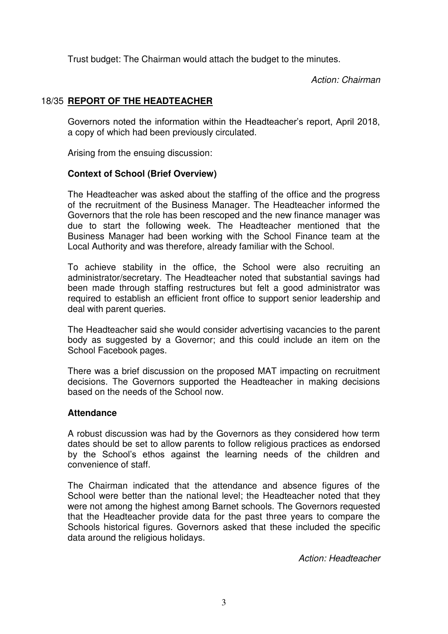Trust budget: The Chairman would attach the budget to the minutes.

*Action: Chairman* 

# 18/35 **REPORT OF THE HEADTEACHER**

Governors noted the information within the Headteacher's report, April 2018, a copy of which had been previously circulated.

Arising from the ensuing discussion:

## **Context of School (Brief Overview)**

The Headteacher was asked about the staffing of the office and the progress of the recruitment of the Business Manager. The Headteacher informed the Governors that the role has been rescoped and the new finance manager was due to start the following week. The Headteacher mentioned that the Business Manager had been working with the School Finance team at the Local Authority and was therefore, already familiar with the School.

To achieve stability in the office, the School were also recruiting an administrator/secretary. The Headteacher noted that substantial savings had been made through staffing restructures but felt a good administrator was required to establish an efficient front office to support senior leadership and deal with parent queries.

The Headteacher said she would consider advertising vacancies to the parent body as suggested by a Governor; and this could include an item on the School Facebook pages.

There was a brief discussion on the proposed MAT impacting on recruitment decisions. The Governors supported the Headteacher in making decisions based on the needs of the School now.

## **Attendance**

A robust discussion was had by the Governors as they considered how term dates should be set to allow parents to follow religious practices as endorsed by the School's ethos against the learning needs of the children and convenience of staff.

The Chairman indicated that the attendance and absence figures of the School were better than the national level; the Headteacher noted that they were not among the highest among Barnet schools. The Governors requested that the Headteacher provide data for the past three years to compare the Schools historical figures. Governors asked that these included the specific data around the religious holidays.

*Action: Headteacher*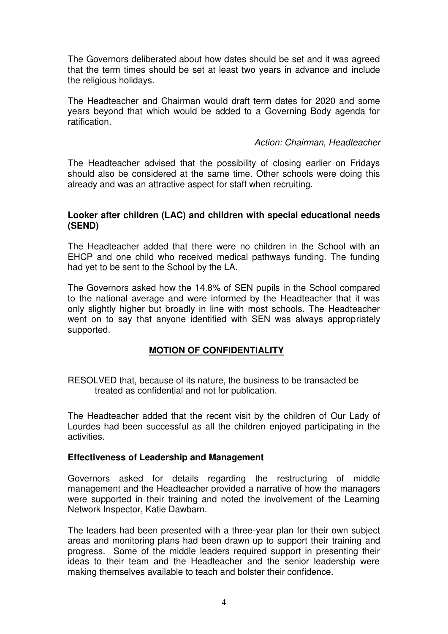The Governors deliberated about how dates should be set and it was agreed that the term times should be set at least two years in advance and include the religious holidays.

The Headteacher and Chairman would draft term dates for 2020 and some years beyond that which would be added to a Governing Body agenda for ratification.

## *Action: Chairman, Headteacher*

The Headteacher advised that the possibility of closing earlier on Fridays should also be considered at the same time. Other schools were doing this already and was an attractive aspect for staff when recruiting.

#### **Looker after children (LAC) and children with special educational needs (SEND)**

The Headteacher added that there were no children in the School with an EHCP and one child who received medical pathways funding. The funding had yet to be sent to the School by the LA.

The Governors asked how the 14.8% of SEN pupils in the School compared to the national average and were informed by the Headteacher that it was only slightly higher but broadly in line with most schools. The Headteacher went on to say that anyone identified with SEN was always appropriately supported.

## **MOTION OF CONFIDENTIALITY**

RESOLVED that, because of its nature, the business to be transacted be treated as confidential and not for publication.

The Headteacher added that the recent visit by the children of Our Lady of Lourdes had been successful as all the children enjoyed participating in the activities.

## **Effectiveness of Leadership and Management**

Governors asked for details regarding the restructuring of middle management and the Headteacher provided a narrative of how the managers were supported in their training and noted the involvement of the Learning Network Inspector, Katie Dawbarn.

The leaders had been presented with a three-year plan for their own subject areas and monitoring plans had been drawn up to support their training and progress. Some of the middle leaders required support in presenting their ideas to their team and the Headteacher and the senior leadership were making themselves available to teach and bolster their confidence.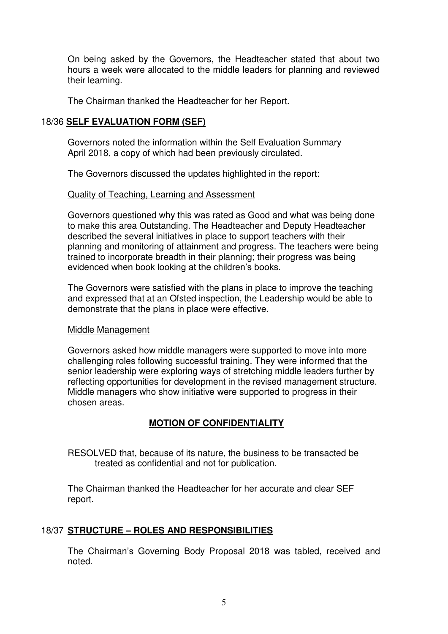On being asked by the Governors, the Headteacher stated that about two hours a week were allocated to the middle leaders for planning and reviewed their learning.

The Chairman thanked the Headteacher for her Report.

## 18/36 **SELF EVALUATION FORM (SEF)**

 Governors noted the information within the Self Evaluation Summary April 2018, a copy of which had been previously circulated.

The Governors discussed the updates highlighted in the report:

#### Quality of Teaching, Learning and Assessment

Governors questioned why this was rated as Good and what was being done to make this area Outstanding. The Headteacher and Deputy Headteacher described the several initiatives in place to support teachers with their planning and monitoring of attainment and progress. The teachers were being trained to incorporate breadth in their planning; their progress was being evidenced when book looking at the children's books.

The Governors were satisfied with the plans in place to improve the teaching and expressed that at an Ofsted inspection, the Leadership would be able to demonstrate that the plans in place were effective.

#### Middle Management

Governors asked how middle managers were supported to move into more challenging roles following successful training. They were informed that the senior leadership were exploring ways of stretching middle leaders further by reflecting opportunities for development in the revised management structure. Middle managers who show initiative were supported to progress in their chosen areas.

## **MOTION OF CONFIDENTIALITY**

RESOLVED that, because of its nature, the business to be transacted be treated as confidential and not for publication.

The Chairman thanked the Headteacher for her accurate and clear SEF report.

## 18/37 **STRUCTURE – ROLES AND RESPONSIBILITIES**

 The Chairman's Governing Body Proposal 2018 was tabled, received and noted.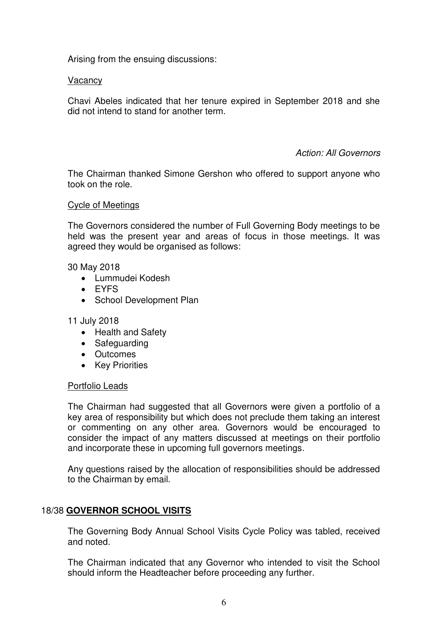Arising from the ensuing discussions:

#### Vacancy

Chavi Abeles indicated that her tenure expired in September 2018 and she did not intend to stand for another term.

#### *Action: All Governors*

The Chairman thanked Simone Gershon who offered to support anyone who took on the role.

#### Cycle of Meetings

 The Governors considered the number of Full Governing Body meetings to be held was the present year and areas of focus in those meetings. It was agreed they would be organised as follows:

30 May 2018

- Lummudei Kodesh
- FYFS
- School Development Plan

#### 11 July 2018

- Health and Safety
- Safeguarding
- Outcomes
- Key Priorities

#### Portfolio Leads

The Chairman had suggested that all Governors were given a portfolio of a key area of responsibility but which does not preclude them taking an interest or commenting on any other area. Governors would be encouraged to consider the impact of any matters discussed at meetings on their portfolio and incorporate these in upcoming full governors meetings.

Any questions raised by the allocation of responsibilities should be addressed to the Chairman by email.

## 18/38 **GOVERNOR SCHOOL VISITS**

The Governing Body Annual School Visits Cycle Policy was tabled, received and noted.

The Chairman indicated that any Governor who intended to visit the School should inform the Headteacher before proceeding any further.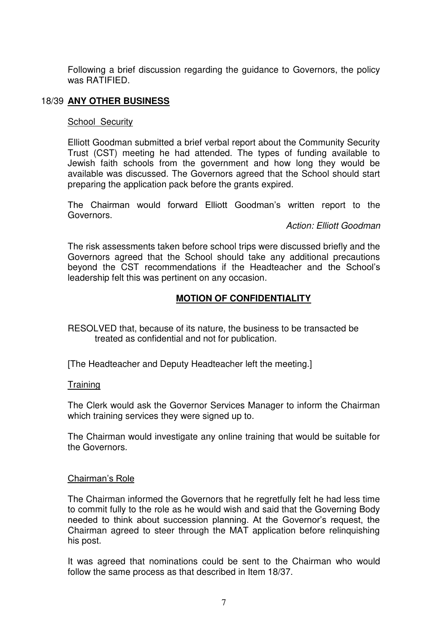Following a brief discussion regarding the guidance to Governors, the policy was RATIFIED.

## 18/39 **ANY OTHER BUSINESS**

#### School Security

 Elliott Goodman submitted a brief verbal report about the Community Security Trust (CST) meeting he had attended. The types of funding available to Jewish faith schools from the government and how long they would be available was discussed. The Governors agreed that the School should start preparing the application pack before the grants expired.

The Chairman would forward Elliott Goodman's written report to the Governors.

*Action: Elliott Goodman* 

 The risk assessments taken before school trips were discussed briefly and the Governors agreed that the School should take any additional precautions beyond the CST recommendations if the Headteacher and the School's leadership felt this was pertinent on any occasion.

## **MOTION OF CONFIDENTIALITY**

RESOLVED that, because of its nature, the business to be transacted be treated as confidential and not for publication.

[The Headteacher and Deputy Headteacher left the meeting.]

#### **Training**

 The Clerk would ask the Governor Services Manager to inform the Chairman which training services they were signed up to.

 The Chairman would investigate any online training that would be suitable for the Governors.

#### Chairman's Role

 The Chairman informed the Governors that he regretfully felt he had less time to commit fully to the role as he would wish and said that the Governing Body needed to think about succession planning. At the Governor's request, the Chairman agreed to steer through the MAT application before relinquishing his post.

 It was agreed that nominations could be sent to the Chairman who would follow the same process as that described in Item 18/37.